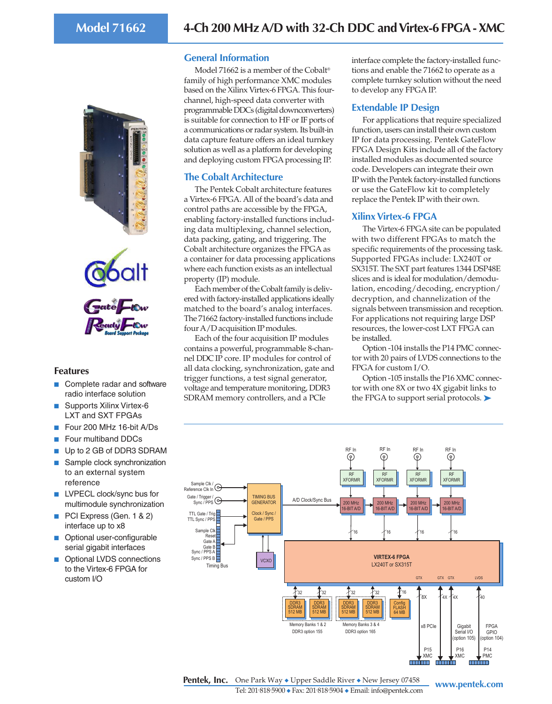



### **Features**

- Complete radar and software radio interface solution
- Supports Xilinx Virtex-6 LXT and SXT FPGAs
- Four 200 MHz 16-bit A/Ds
- Four multiband DDCs
- Up to 2 GB of DDR3 SDRAM ■ Sample clock synchronization
- to an external system reference
- LVPECL clock/sync bus for multimodule synchronization
- PCI Express (Gen. 1 & 2) interface up to x8
- Optional user-configurable serial gigabit interfaces
- Optional LVDS connections to the Virtex-6 FPGA for custom I/O

## **General Information**

Model 71662 is a member of the Cobalt® family of high performance XMC modules based on the Xilinx Virtex-6 FPGA. This fourchannel, high-speed data converter with programmable DDCs (digital downconverters) is suitable for connection to HF or IF ports of a communications or radar system. Its built-in data capture feature offers an ideal turnkey solution as well as a platform for developing and deploying custom FPGA processing IP.

# **The Cobalt Architecture**

The Pentek Cobalt architecture features a Virtex-6 FPGA. All of the board's data and control paths are accessible by the FPGA, enabling factory-installed functions including data multiplexing, channel selection, data packing, gating, and triggering. The Cobalt architecture organizes the FPGA as a container for data processing applications where each function exists as an intellectual property (IP) module.

Each member of the Cobalt family is delivered with factory-installed applications ideally matched to the board's analog interfaces. The 71662 factory-installed functions include four A/D acquisition IP modules.

Each of the four acquisition IP modules contains a powerful, programmable 8-channel DDC IP core. IP modules for control of all data clocking, synchronization, gate and trigger functions, a test signal generator, voltage and temperature monitoring, DDR3 SDRAM memory controllers, and a PCIe

interface complete the factory-installed functions and enable the 71662 to operate as a complete turnkey solution without the need to develop any FPGA IP.

## **Extendable IP Design**

For applications that require specialized function, users can install their own custom IP for data processing. Pentek GateFlow FPGA Design Kits include all of the factory installed modules as documented source code. Developers can integrate their own IP with the Pentek factory-installed functions or use the GateFlow kit to completely replace the Pentek IP with their own.

# **Xilinx Virtex-6 FPGA**

The Virtex-6 FPGA site can be populated with two different FPGAs to match the specific requirements of the processing task. Supported FPGAs include: LX240T or SX315T. The SXT part features 1344 DSP48E slices and is ideal for modulation/demodulation, encoding/decoding, encryption/ decryption, and channelization of the signals between transmission and reception. For applications not requiring large DSP resources, the lower-cost LXT FPGA can be installed.

Option -104 installs the P14 PMC connector with 20 pairs of LVDS connections to the FPGA for custom I/O.

Option -105 installs the P16 XMC connector with one 8X or two 4X gigabit links to the FPGA to support serial protocols. ▶



**Pentek, Inc.** One Park Way ◆ Upper Saddle River ◆ New Jersey 07458 www.pentek.com Tel: 201. 818. 5900 ◆ Fax: 201. 818. 5904 ◆ Email: info@pentek.com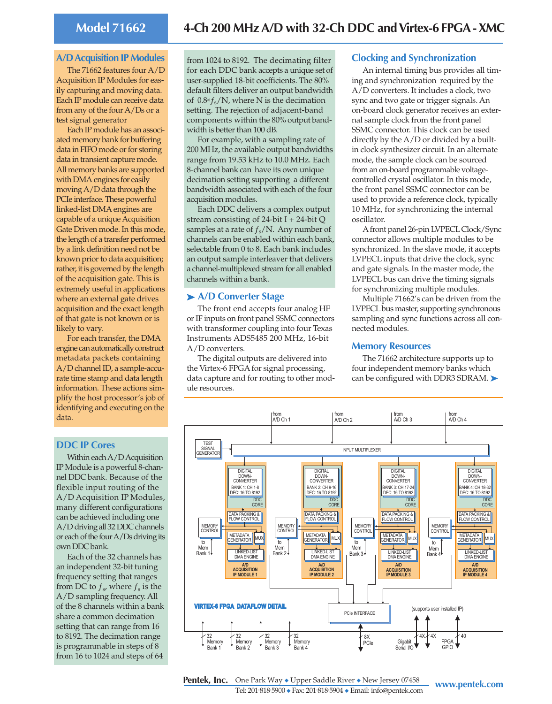# **Model 71662 4-Ch 200 MHz A/D with 32-Ch DDC and Virtex-6 FPGA - XMC**

#### **A/D Acquisition IP Modules**

The 71662 features four A/D Acquisition IP Modules for easily capturing and moving data. Each IP module can receive data from any of the four A/Ds or a test signal generator

Each IP module has an associated memory bank for buffering data in FIFO mode or for storing data in transient capture mode. All memory banks are supported with DMA engines for easily moving A/D data through the PCIe interface. These powerful linked-list DMA engines are capable of a unique Acquisition Gate Driven mode. In this mode, the length of a transfer performed by a link definition need not be known prior to data acquisition; rather, it is governed by the length of the acquisition gate. This is extremely useful in applications where an external gate drives acquisition and the exact length of that gate is not known or is likely to vary.

For each transfer, the DMA engine can automatically construct metadata packets containing A/D channel ID, a sample-accurate time stamp and data length information. These actions simplify the host processor's job of identifying and executing on the data.

### **DDC IP Cores**

Within each A/D Acquisition IP Module is a powerful 8-channel DDC bank. Because of the flexible input routing of the A/D Acquisition IP Modules, many different configurations can be achieved including one A/D driving all 32 DDC channels or each of the four A/Ds driving its own DDC bank.

Each of the 32 channels has an independent 32-bit tuning frequency setting that ranges from DC to  $f_s$ , where  $f_s$  is the A/D sampling frequency. All of the 8 channels within a bank share a common decimation setting that can range from 16 to 8192. The decimation range is programmable in steps of 8 from 16 to 1024 and steps of 64

from 1024 to 8192. The decimating filter for each DDC bank accepts a unique set of user-supplied 18-bit coefficients. The 80% default filters deliver an output bandwidth of  $0.8*f_s/N$ , where N is the decimation setting. The rejection of adjacent-band components within the 80% output bandwidth is better than 100 dB.

For example, with a sampling rate of 200 MHz, the available output bandwidths range from 19.53 kHz to 10.0 MHz. Each 8-channel bank can have its own unique decimation setting supporting a different bandwidth associated with each of the four acquisition modules.

Each DDC delivers a complex output stream consisting of  $24$ -bit I +  $24$ -bit Q samples at a rate of  $f_s/N$ . Any number of channels can be enabled within each bank, selectable from 0 to 8. Each bank includes an output sample interleaver that delivers a channel-multiplexed stream for all enabled channels within a bank.

#### ➤ **A/D Converter Stage**

The front end accepts four analog HF or IF inputs on front panel SSMC connectors with transformer coupling into four Texas Instruments ADS5485 200 MHz, 16-bit A/D converters.

The digital outputs are delivered into the Virtex-6 FPGA for signal processing, data capture and for routing to other module resources.

#### **Clocking and Synchronization**

An internal timing bus provides all timing and synchronization required by the A/D converters. It includes a clock, two sync and two gate or trigger signals. An on-board clock generator receives an external sample clock from the front panel SSMC connector. This clock can be used directly by the A/D or divided by a builtin clock synthesizer circuit. In an alternate mode, the sample clock can be sourced from an on-board programmable voltagecontrolled crystal oscillator. In this mode, the front panel SSMC connector can be used to provide a reference clock, typically 10 MHz, for synchronizing the internal oscillator.

A front panel 26-pin LVPECL Clock/Sync connector allows multiple modules to be synchronized. In the slave mode, it accepts LVPECL inputs that drive the clock, sync and gate signals. In the master mode, the LVPECL bus can drive the timing signals for synchronizing multiple modules.

Multiple 71662's can be driven from the LVPECL bus master, supporting synchronous sampling and sync functions across all connected modules.

#### **Memory Resources**

The 71662 architecture supports up to four independent memory banks which can be configured with DDR3 SDRAM. ▶



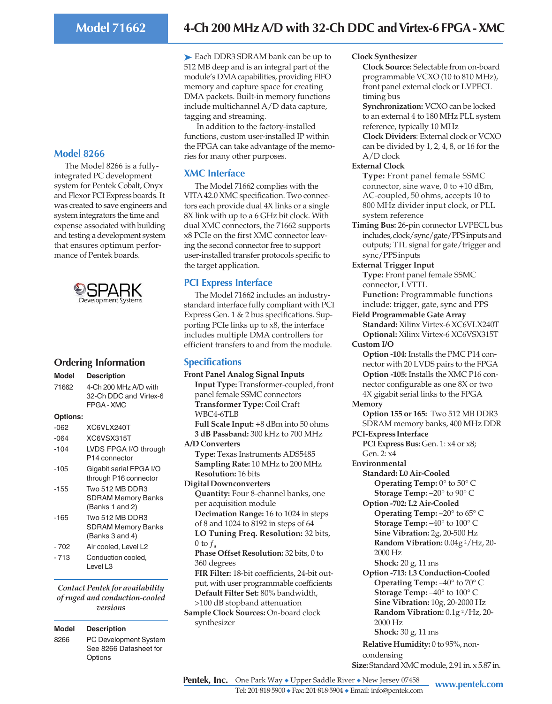### **Model 8266**

The Model 8266 is a fullyintegrated PC development system for Pentek Cobalt, Onyx and Flexor PCI Express boards. It was created to save engineers and system integrators the time and expense associated with building and testing a development system that ensures optimum performance of Pentek boards.



## **Ordering Information**

| <b>Model</b>    | <b>Description</b>                                                     |
|-----------------|------------------------------------------------------------------------|
| 71662           | 4-Ch 200 MHz A/D with<br>32-Ch DDC and Virtex-6<br>FPGA-XMC            |
| <b>Options:</b> |                                                                        |
| -062            | XC6VLX240T                                                             |
| $-064$          | XC6VSX315T                                                             |
| -104            | LVDS FPGA I/O through<br>P14 connector                                 |
| $-105$          | Gigabit serial FPGA I/O<br>through P16 connector                       |
| $-155$          | Two 512 MB DDR3<br><b>SDRAM Memory Banks</b><br>(Banks 1 and 2)        |
| $-165$          | <b>Two 512 MB DDB3</b><br><b>SDRAM Memory Banks</b><br>(Banks 3 and 4) |
| $-702$          | Air cooled, Level L2                                                   |
| $-713$          | Conduction cooled,<br>Level L3                                         |

*Contact Pentek for availability of ruged and conduction-cooled versions*

## **Model Description**

8266 PC Development System See 8266 Datasheet for **Options** 

➤ Each DDR3 SDRAM bank can be up to 512 MB deep and is an integral part of the module's DMA capabilities, providing FIFO memory and capture space for creating DMA packets. Built-in memory functions include multichannel A/D data capture, tagging and streaming.

 In addition to the factory-installed functions, custom user-installed IP within the FPGA can take advantage of the memories for many other purposes.

## **XMC Interface**

The Model 71662 complies with the VITA 42.0 XMC specification. Two connectors each provide dual 4X links or a single 8X link with up to a 6 GHz bit clock. With dual XMC connectors, the 71662 supports x8 PCIe on the first XMC connector leaving the second connector free to support user-installed transfer protocols specific to the target application.

## **PCI Express Interface**

The Model 71662 includes an industrystandard interface fully compliant with PCI Express Gen. 1 & 2 bus specifications. Supporting PCIe links up to x8, the interface includes multiple DMA controllers for efficient transfers to and from the module.

## **Specifications**

**Front Panel Analog Signal Inputs Input Type:** Transformer-coupled, front panel female SSMC connectors **Transformer Type:** Coil Craft WBC4-6TLB **Full Scale Input:** +8 dBm into 50 ohms **3 dB Passband:** 300 kHz to 700 MHz **A/D Converters Type:** Texas Instruments ADS5485 **Sampling Rate:** 10 MHz to 200 MHz **Resolution:** 16 bits **Digital Downconverters Quantity:** Four 8-channel banks, one per acquisition module **Decimation Range:** 16 to 1024 in steps of 8 and 1024 to 8192 in steps of 64 **LO Tuning Freq. Resolution:** 32 bits, 0 to  $f_s$ **Phase Offset Resolution:** 32 bits, 0 to 360 degrees **FIR Filter:** 18-bit coefficients, 24-bit output, with user programmable coefficients **Default Filter Set:** 80% bandwidth, >100 dB stopband attenuation **Sample Clock Sources:** On-board clock

#### **Clock Synthesizer**

**Clock Source:** Selectable from on-board programmable VCXO (10 to 810 MHz), front panel external clock or LVPECL timing bus

**Synchronization:** VCXO can be locked to an external 4 to 180 MHz PLL system reference, typically 10 MHz

**Clock Dividers**: External clock or VCXO can be divided by 1, 2, 4, 8, or 16 for the A/D clock

#### **External Clock**

**Type:** Front panel female SSMC connector, sine wave, 0 to +10 dBm, AC-coupled, 50 ohms, accepts 10 to 800 MHz divider input clock, or PLL system reference

**Timing Bus:** 26-pin connector LVPECL bus includes, clock/sync/gate/PPS inputs and outputs; TTL signal for gate/trigger and sync/PPS inputs

**External Trigger Input Type:** Front panel female SSMC connector, LVTTL

**Function:** Programmable functions include: trigger, gate, sync and PPS

**Field Programmable Gate Array Standard:** Xilinx Virtex-6 XC6VLX240T **Optional:** Xilinx Virtex-6 XC6VSX315T **Custom I/O**

**Option -104:** Installs the PMC P14 connector with 20 LVDS pairs to the FPGA **Option -105:** Installs the XMC P16 connector configurable as one 8X or two 4X gigabit serial links to the FPGA

#### **Memory**

**Option 155 or 165:** Two 512 MB DDR3 SDRAM memory banks, 400 MHz DDR

**PCI-Express Interface**

**PCI Express Bus:** Gen. 1: x4 or x8; Gen. 2: x4

**Environmental**

**Standard: L0 Air-Cooled Operating Temp:** 0° to 50° C **Storage Temp:** –20° to 90° C

**Option -702: L2 Air-Cooled Operating Temp:** –20° to 65° C **Storage Temp:** –40° to 100° C **Sine Vibration:** 2g, 20-500 Hz **Random Vibration:** 0.04g 2/Hz, 20- 2000 Hz

**Shock:** 20 g, 11 ms

**Option -713: L3 Conduction-Cooled Operating Temp:** –40° to 70° C **Storage Temp:** –40° to 100° C **Sine Vibration:** 10g, 20-2000 Hz **Random Vibration:** 0.1g 2/Hz, 20- 2000 Hz **Shock:** 30 g, 11 ms

**Relative Humidity:** 0 to 95%, noncondensing

**Size:** Standard XMC module, 2.91 in. x 5.87 in.

**Pentek, Inc.** One Park Way ◆ Upper Saddle River ◆ New Jersey 07458 www.pentek.com

Tel: 201. 818. 5900 ◆ Fax: 201. 818. 5904 ◆ Email: info@pentek.com

synthesizer